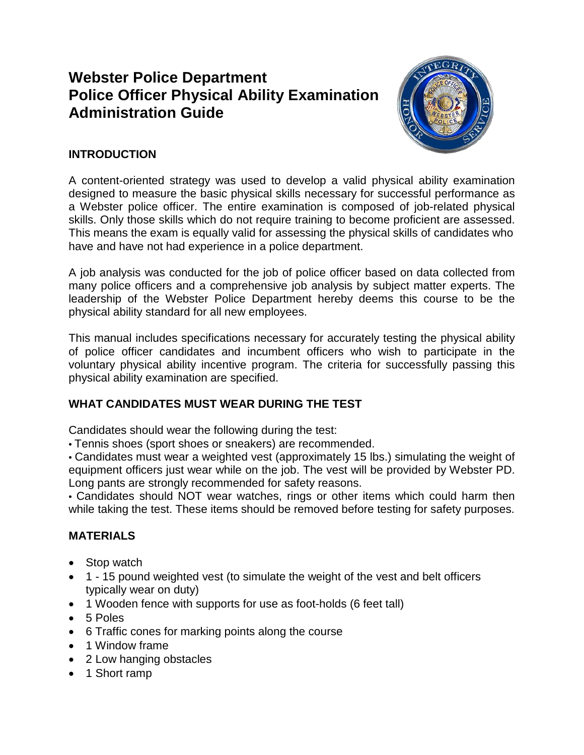# **Webster Police Department Police Officer Physical Ability Examination Administration Guide**



# **INTRODUCTION**

A content-oriented strategy was used to develop a valid physical ability examination designed to measure the basic physical skills necessary for successful performance as a Webster police officer. The entire examination is composed of job-related physical skills. Only those skills which do not require training to become proficient are assessed. This means the exam is equally valid for assessing the physical skills of candidates who have and have not had experience in a police department.

A job analysis was conducted for the job of police officer based on data collected from many police officers and a comprehensive job analysis by subject matter experts. The leadership of the Webster Police Department hereby deems this course to be the physical ability standard for all new employees.

This manual includes specifications necessary for accurately testing the physical ability of police officer candidates and incumbent officers who wish to participate in the voluntary physical ability incentive program. The criteria for successfully passing this physical ability examination are specified.

# **WHAT CANDIDATES MUST WEAR DURING THE TEST**

Candidates should wear the following during the test:

• Tennis shoes (sport shoes or sneakers) are recommended.

• Candidates must wear a weighted vest (approximately 15 lbs.) simulating the weight of equipment officers just wear while on the job. The vest will be provided by Webster PD. Long pants are strongly recommended for safety reasons.

• Candidates should NOT wear watches, rings or other items which could harm then while taking the test. These items should be removed before testing for safety purposes.

#### **MATERIALS**

- Stop watch
- 1 15 pound weighted vest (to simulate the weight of the vest and belt officers typically wear on duty)
- 1 Wooden fence with supports for use as foot-holds (6 feet tall)
- 5 Poles
- 6 Traffic cones for marking points along the course
- 1 Window frame
- 2 Low hanging obstacles
- 1 Short ramp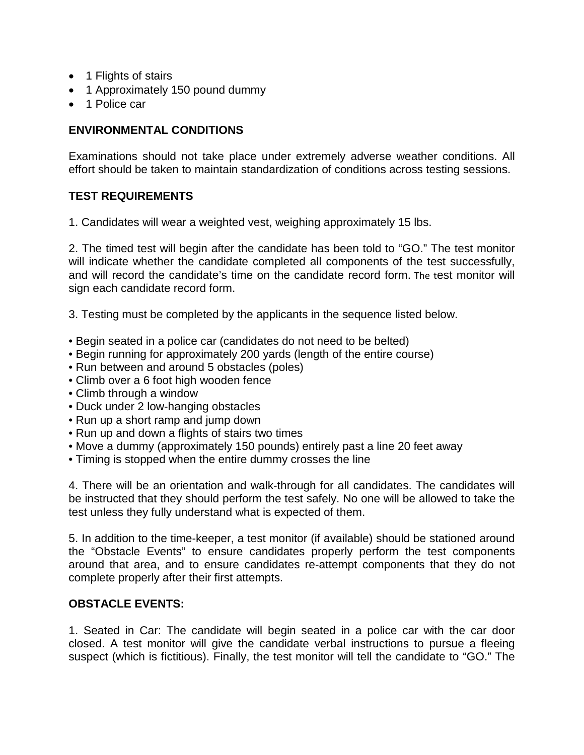- 1 Flights of stairs
- 1 Approximately 150 pound dummy
- 1 Police car

### **ENVIRONMENTAL CONDITIONS**

Examinations should not take place under extremely adverse weather conditions. All effort should be taken to maintain standardization of conditions across testing sessions.

#### **TEST REQUIREMENTS**

1. Candidates will wear a weighted vest, weighing approximately 15 lbs.

2. The timed test will begin after the candidate has been told to "GO." The test monitor will indicate whether the candidate completed all components of the test successfully, and will record the candidate's time on the candidate record form. The test monitor will sign each candidate record form.

3. Testing must be completed by the applicants in the sequence listed below.

- Begin seated in a police car (candidates do not need to be belted)
- Begin running for approximately 200 yards (length of the entire course)
- Run between and around 5 obstacles (poles)
- Climb over a 6 foot high wooden fence
- Climb through a window
- Duck under 2 low-hanging obstacles
- Run up a short ramp and jump down
- Run up and down a flights of stairs two times
- Move a dummy (approximately 150 pounds) entirely past a line 20 feet away
- Timing is stopped when the entire dummy crosses the line

4. There will be an orientation and walk-through for all candidates. The candidates will be instructed that they should perform the test safely. No one will be allowed to take the test unless they fully understand what is expected of them.

5. In addition to the time-keeper, a test monitor (if available) should be stationed around the "Obstacle Events" to ensure candidates properly perform the test components around that area, and to ensure candidates re-attempt components that they do not complete properly after their first attempts.

## **OBSTACLE EVENTS:**

1. Seated in Car: The candidate will begin seated in a police car with the car door closed. A test monitor will give the candidate verbal instructions to pursue a fleeing suspect (which is fictitious). Finally, the test monitor will tell the candidate to "GO." The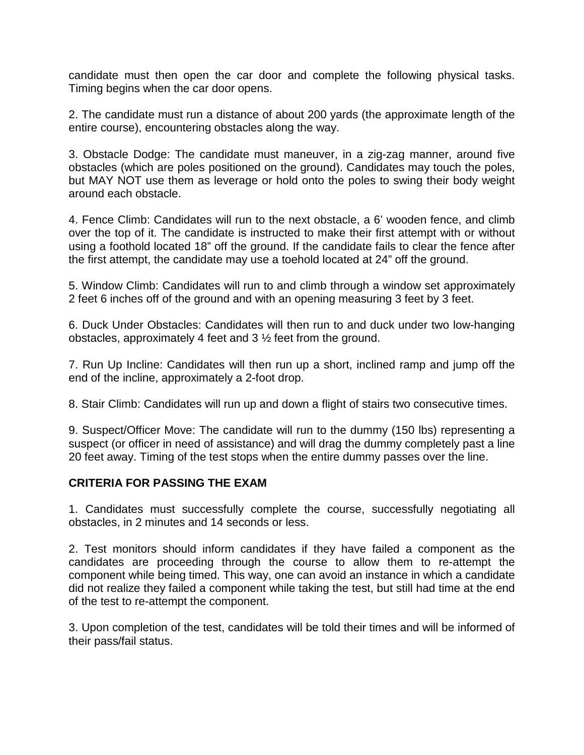candidate must then open the car door and complete the following physical tasks. Timing begins when the car door opens.

2. The candidate must run a distance of about 200 yards (the approximate length of the entire course), encountering obstacles along the way.

3. Obstacle Dodge: The candidate must maneuver, in a zig-zag manner, around five obstacles (which are poles positioned on the ground). Candidates may touch the poles, but MAY NOT use them as leverage or hold onto the poles to swing their body weight around each obstacle.

4. Fence Climb: Candidates will run to the next obstacle, a 6' wooden fence, and climb over the top of it. The candidate is instructed to make their first attempt with or without using a foothold located 18" off the ground. If the candidate fails to clear the fence after the first attempt, the candidate may use a toehold located at 24" off the ground.

5. Window Climb: Candidates will run to and climb through a window set approximately 2 feet 6 inches off of the ground and with an opening measuring 3 feet by 3 feet.

6. Duck Under Obstacles: Candidates will then run to and duck under two low-hanging obstacles, approximately 4 feet and 3 ½ feet from the ground.

7. Run Up Incline: Candidates will then run up a short, inclined ramp and jump off the end of the incline, approximately a 2-foot drop.

8. Stair Climb: Candidates will run up and down a flight of stairs two consecutive times.

9. Suspect/Officer Move: The candidate will run to the dummy (150 lbs) representing a suspect (or officer in need of assistance) and will drag the dummy completely past a line 20 feet away. Timing of the test stops when the entire dummy passes over the line.

#### **CRITERIA FOR PASSING THE EXAM**

1. Candidates must successfully complete the course, successfully negotiating all obstacles, in 2 minutes and 14 seconds or less.

2. Test monitors should inform candidates if they have failed a component as the candidates are proceeding through the course to allow them to re-attempt the component while being timed. This way, one can avoid an instance in which a candidate did not realize they failed a component while taking the test, but still had time at the end of the test to re-attempt the component.

3. Upon completion of the test, candidates will be told their times and will be informed of their pass/fail status.